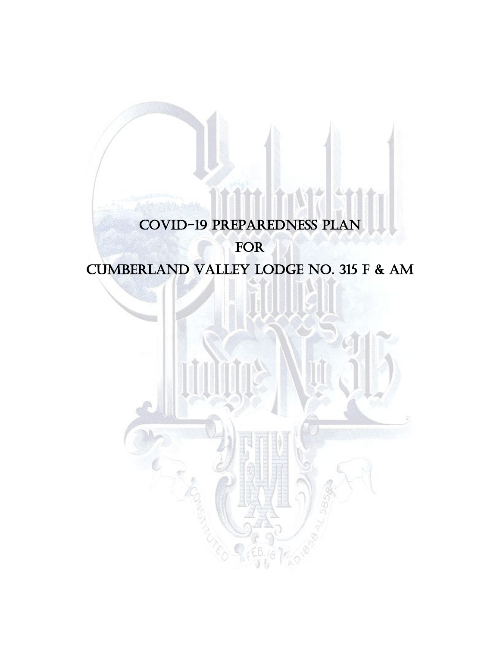### COVID-19 Preparedness Plan

### FOR

# Cumberland Valley Lodge No. 315 F & AM

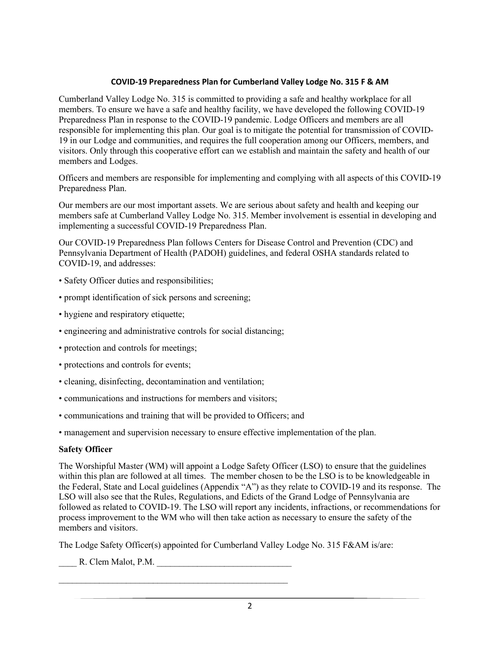#### **COVID-19 Preparedness Plan for Cumberland Valley Lodge No. 315 F & AM**

Cumberland Valley Lodge No. 315 is committed to providing a safe and healthy workplace for all members. To ensure we have a safe and healthy facility, we have developed the following COVID-19 Preparedness Plan in response to the COVID-19 pandemic. Lodge Officers and members are all responsible for implementing this plan. Our goal is to mitigate the potential for transmission of COVID-19 in our Lodge and communities, and requires the full cooperation among our Officers, members, and visitors. Only through this cooperative effort can we establish and maintain the safety and health of our members and Lodges.

Officers and members are responsible for implementing and complying with all aspects of this COVID-19 Preparedness Plan.

Our members are our most important assets. We are serious about safety and health and keeping our members safe at Cumberland Valley Lodge No. 315. Member involvement is essential in developing and implementing a successful COVID-19 Preparedness Plan.

Our COVID-19 Preparedness Plan follows Centers for Disease Control and Prevention (CDC) and Pennsylvania Department of Health (PADOH) guidelines, and federal OSHA standards related to COVID-19, and addresses:

- Safety Officer duties and responsibilities;
- prompt identification of sick persons and screening;
- hygiene and respiratory etiquette;
- engineering and administrative controls for social distancing;
- protection and controls for meetings;
- protections and controls for events;
- cleaning, disinfecting, decontamination and ventilation;
- communications and instructions for members and visitors;

\_\_\_\_\_\_\_\_\_\_\_\_\_\_\_\_\_\_\_\_\_\_\_\_\_\_\_\_\_\_\_\_\_\_\_\_\_\_\_\_\_\_\_\_\_\_\_\_\_\_\_

- communications and training that will be provided to Officers; and
- management and supervision necessary to ensure effective implementation of the plan.

#### **Safety Officer**

The Worshipful Master (WM) will appoint a Lodge Safety Officer (LSO) to ensure that the guidelines within this plan are followed at all times. The member chosen to be the LSO is to be knowledgeable in the Federal, State and Local guidelines (Appendix "A") as they relate to COVID-19 and its response. The LSO will also see that the Rules, Regulations, and Edicts of the Grand Lodge of Pennsylvania are followed as related to COVID-19. The LSO will report any incidents, infractions, or recommendations for process improvement to the WM who will then take action as necessary to ensure the safety of the members and visitors.

The Lodge Safety Officer(s) appointed for Cumberland Valley Lodge No. 315 F&AM is/are:

\_\_\_\_ R. Clem Malot, P.M. \_\_\_\_\_\_\_\_\_\_\_\_\_\_\_\_\_\_\_\_\_\_\_\_\_\_\_\_\_\_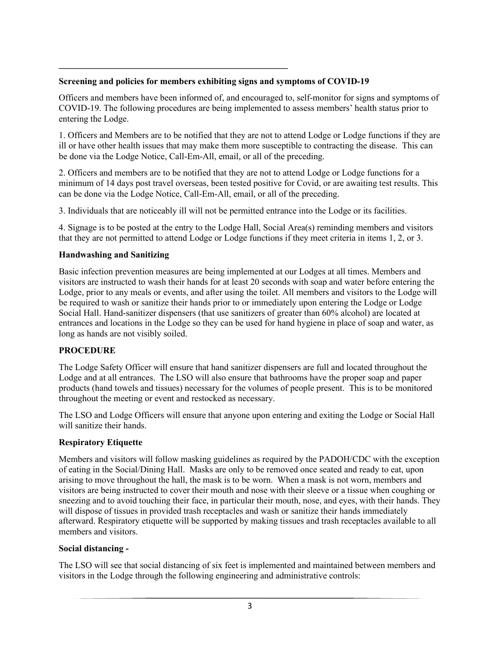#### **Screening and policies for members exhibiting signs and symptoms of COVID-19**

**\_\_\_\_\_\_\_\_\_\_\_\_\_\_\_\_\_\_\_\_\_\_\_\_\_\_\_\_\_\_\_\_\_\_\_\_\_\_\_\_\_\_\_\_\_\_\_\_\_\_\_**

Officers and members have been informed of, and encouraged to, self-monitor for signs and symptoms of COVID-19. The following procedures are being implemented to assess members' health status prior to entering the Lodge.

1. Officers and Members are to be notified that they are not to attend Lodge or Lodge functions if they are ill or have other health issues that may make them more susceptible to contracting the disease. This can be done via the Lodge Notice, Call-Em-All, email, or all of the preceding.

2. Officers and members are to be notified that they are not to attend Lodge or Lodge functions for a minimum of 14 days post travel overseas, been tested positive for Covid, or are awaiting test results. This can be done via the Lodge Notice, Call-Em-All, email, or all of the preceding.

3. Individuals that are noticeably ill will not be permitted entrance into the Lodge or its facilities.

4. Signage is to be posted at the entry to the Lodge Hall, Social Area(s) reminding members and visitors that they are not permitted to attend Lodge or Lodge functions if they meet criteria in items 1, 2, or 3.

#### **Handwashing and Sanitizing**

Basic infection prevention measures are being implemented at our Lodges at all times. Members and visitors are instructed to wash their hands for at least 20 seconds with soap and water before entering the Lodge, prior to any meals or events, and after using the toilet. All members and visitors to the Lodge will be required to wash or sanitize their hands prior to or immediately upon entering the Lodge or Lodge Social Hall. Hand-sanitizer dispensers (that use sanitizers of greater than 60% alcohol) are located at entrances and locations in the Lodge so they can be used for hand hygiene in place of soap and water, as long as hands are not visibly soiled.

#### **PROCEDURE**

The Lodge Safety Officer will ensure that hand sanitizer dispensers are full and located throughout the Lodge and at all entrances. The LSO will also ensure that bathrooms have the proper soap and paper products (hand towels and tissues) necessary for the volumes of people present. This is to be monitored throughout the meeting or event and restocked as necessary.

The LSO and Lodge Officers will ensure that anyone upon entering and exiting the Lodge or Social Hall will sanitize their hands.

#### **Respiratory Etiquette**

Members and visitors will follow masking guidelines as required by the PADOH/CDC with the exception of eating in the Social/Dining Hall. Masks are only to be removed once seated and ready to eat, upon arising to move throughout the hall, the mask is to be worn. When a mask is not worn, members and visitors are being instructed to cover their mouth and nose with their sleeve or a tissue when coughing or sneezing and to avoid touching their face, in particular their mouth, nose, and eyes, with their hands. They will dispose of tissues in provided trash receptacles and wash or sanitize their hands immediately afterward. Respiratory etiquette will be supported by making tissues and trash receptacles available to all members and visitors.

#### **Social distancing -**

The LSO will see that social distancing of six feet is implemented and maintained between members and visitors in the Lodge through the following engineering and administrative controls: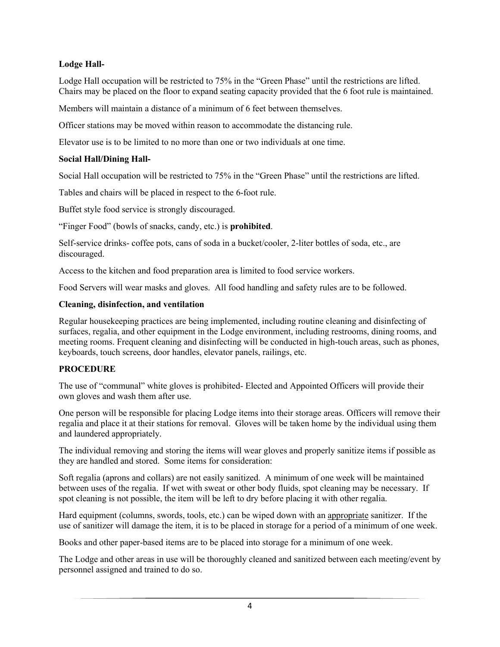#### **Lodge Hall-**

Lodge Hall occupation will be restricted to 75% in the "Green Phase" until the restrictions are lifted. Chairs may be placed on the floor to expand seating capacity provided that the 6 foot rule is maintained.

Members will maintain a distance of a minimum of 6 feet between themselves.

Officer stations may be moved within reason to accommodate the distancing rule.

Elevator use is to be limited to no more than one or two individuals at one time.

#### **Social Hall/Dining Hall-**

Social Hall occupation will be restricted to 75% in the "Green Phase" until the restrictions are lifted.

Tables and chairs will be placed in respect to the 6-foot rule.

Buffet style food service is strongly discouraged.

"Finger Food" (bowls of snacks, candy, etc.) is **prohibited**.

Self-service drinks- coffee pots, cans of soda in a bucket/cooler, 2-liter bottles of soda, etc., are discouraged.

Access to the kitchen and food preparation area is limited to food service workers.

Food Servers will wear masks and gloves. All food handling and safety rules are to be followed.

#### **Cleaning, disinfection, and ventilation**

Regular housekeeping practices are being implemented, including routine cleaning and disinfecting of surfaces, regalia, and other equipment in the Lodge environment, including restrooms, dining rooms, and meeting rooms. Frequent cleaning and disinfecting will be conducted in high-touch areas, such as phones, keyboards, touch screens, door handles, elevator panels, railings, etc.

#### **PROCEDURE**

The use of "communal" white gloves is prohibited- Elected and Appointed Officers will provide their own gloves and wash them after use.

One person will be responsible for placing Lodge items into their storage areas. Officers will remove their regalia and place it at their stations for removal. Gloves will be taken home by the individual using them and laundered appropriately.

The individual removing and storing the items will wear gloves and properly sanitize items if possible as they are handled and stored. Some items for consideration:

Soft regalia (aprons and collars) are not easily sanitized. A minimum of one week will be maintained between uses of the regalia. If wet with sweat or other body fluids, spot cleaning may be necessary. If spot cleaning is not possible, the item will be left to dry before placing it with other regalia.

Hard equipment (columns, swords, tools, etc.) can be wiped down with an appropriate sanitizer. If the use of sanitizer will damage the item, it is to be placed in storage for a period of a minimum of one week.

Books and other paper-based items are to be placed into storage for a minimum of one week.

The Lodge and other areas in use will be thoroughly cleaned and sanitized between each meeting/event by personnel assigned and trained to do so.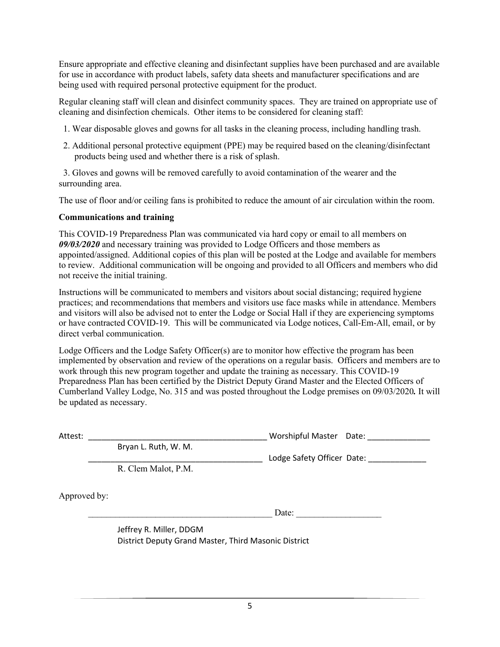Ensure appropriate and effective cleaning and disinfectant supplies have been purchased and are available for use in accordance with product labels, safety data sheets and manufacturer specifications and are being used with required personal protective equipment for the product.

Regular cleaning staff will clean and disinfect community spaces. They are trained on appropriate use of cleaning and disinfection chemicals. Other items to be considered for cleaning staff:

- 1. Wear disposable gloves and gowns for all tasks in the cleaning process, including handling trash.
- 2. Additional personal protective equipment (PPE) may be required based on the cleaning/disinfectant products being used and whether there is a risk of splash.

 3. Gloves and gowns will be removed carefully to avoid contamination of the wearer and the surrounding area.

The use of floor and/or ceiling fans is prohibited to reduce the amount of air circulation within the room.

#### **Communications and training**

This COVID-19 Preparedness Plan was communicated via hard copy or email to all members on *09/03/2020* and necessary training was provided to Lodge Officers and those members as appointed/assigned. Additional copies of this plan will be posted at the Lodge and available for members to review. Additional communication will be ongoing and provided to all Officers and members who did not receive the initial training.

Instructions will be communicated to members and visitors about social distancing; required hygiene practices; and recommendations that members and visitors use face masks while in attendance. Members and visitors will also be advised not to enter the Lodge or Social Hall if they are experiencing symptoms or have contracted COVID-19. This will be communicated via Lodge notices, Call-Em-All, email, or by direct verbal communication.

Lodge Officers and the Lodge Safety Officer(s) are to monitor how effective the program has been implemented by observation and review of the operations on a regular basis. Officers and members are to work through this new program together and update the training as necessary. This COVID-19 Preparedness Plan has been certified by the District Deputy Grand Master and the Elected Officers of Cumberland Valley Lodge, No. 315 and was posted throughout the Lodge premises on 09/03/2020*.* It will be updated as necessary.

Bryan L. Ruth, W. M.

Attest: \_\_\_\_\_\_\_\_\_\_\_\_\_\_\_\_\_\_\_\_\_\_\_\_\_\_\_\_\_\_\_\_\_\_\_\_\_\_\_\_ Worshipful Master Date: \_\_\_\_\_\_\_\_\_\_\_\_\_\_

R. Clem Malot, P.M.

Approved by:

Date:

\_\_\_\_\_\_\_\_\_\_\_\_\_\_\_\_\_\_\_\_\_\_\_\_\_\_\_\_\_\_\_\_\_\_\_\_\_\_\_ Lodge Safety Officer Date: \_\_\_\_\_\_\_\_\_\_\_\_\_

Jeffrey R. Miller, DDGM District Deputy Grand Master, Third Masonic District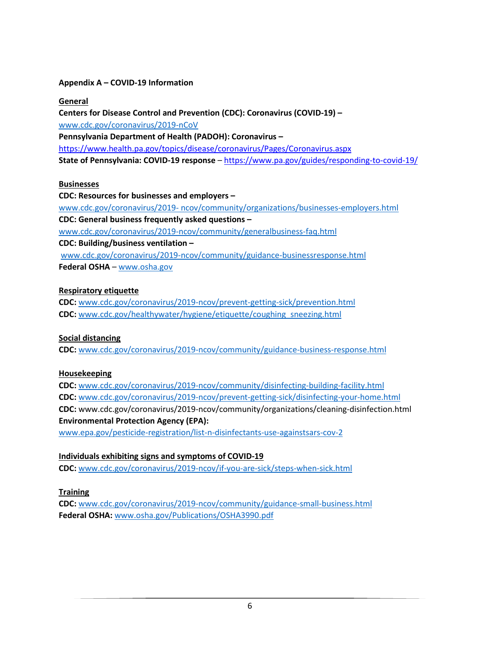#### **Appendix A – COVID-19 Information**

#### **General**

**Centers for Disease Control and Prevention (CDC): Coronavirus (COVID-19) –** [www.cdc.gov/coronavirus/2019-nCoV](http://www.cdc.gov/coronavirus/2019-nCoV)  **Pennsylvania Department of Health (PADOH): Coronavirus –** <https://www.health.pa.gov/topics/disease/coronavirus/Pages/Coronavirus.aspx> **State of Pennsylvania: COVID-19 response** – <https://www.pa.gov/guides/responding-to-covid-19/>

#### **Businesses**

**CDC: Resources for businesses and employers –** www.cdc.gov/coronavirus/2019- [ncov/community/organizations/businesses-employers.html](http://www.cdc.gov/coronavirus/2019-%20ncov/community/organizations/businesses-employers.html)  **CDC: General business frequently asked questions –** [www.cdc.gov/coronavirus/2019-ncov/community/generalbusiness-faq.html](http://www.cdc.gov/coronavirus/2019-ncov/community/generalbusiness-faq.html) **CDC: Building/business ventilation –** [www.cdc.gov/coronavirus/2019-ncov/community/guidance-businessresponse.html](http://www.cdc.gov/coronavirus/2019-ncov/community/guidance-businessresponse.html) **Federal OSHA** – [www.osha.gov](http://www.osha.gov/)

#### **Respiratory etiquette**

**CDC:** [www.cdc.gov/coronavirus/2019-ncov/prevent-getting-sick/prevention.html](http://www.cdc.gov/coronavirus/2019-ncov/prevent-getting-sick/prevention.html) **CDC:** [www.cdc.gov/healthywater/hygiene/etiquette/coughing\\_sneezing.html](http://www.cdc.gov/healthywater/hygiene/etiquette/coughing_sneezing.html)

#### **Social distancing**

**CDC:** [www.cdc.gov/coronavirus/2019-ncov/community/guidance-business-response.html](http://www.cdc.gov/coronavirus/2019-ncov/community/guidance-business-response.html)

#### **Housekeeping**

**CDC:** [www.cdc.gov/coronavirus/2019-ncov/community/disinfecting-building-facility.html](http://www.cdc.gov/coronavirus/2019-ncov/community/disinfecting-building-facility.html) **CDC:** [www.cdc.gov/coronavirus/2019-ncov/prevent-getting-sick/disinfecting-your-home.html](http://www.cdc.gov/coronavirus/2019-ncov/prevent-getting-sick/disinfecting-your-home.html) **CDC:** www.cdc.gov/coronavirus/2019-ncov/community/organizations/cleaning-disinfection.html **Environmental Protection Agency (EPA):**

[www.epa.gov/pesticide-registration/list-n-disinfectants-use-againstsars-cov-2](http://www.epa.gov/pesticide-registration/list-n-disinfectants-use-againstsars-cov-2) 

### **Individuals exhibiting signs and symptoms of COVID-19**

**CDC:** [www.cdc.gov/coronavirus/2019-ncov/if-you-are-sick/steps-when-sick.html](http://www.cdc.gov/coronavirus/2019-ncov/if-you-are-sick/steps-when-sick.html)

**Training** 

**CDC:** [www.cdc.gov/coronavirus/2019-ncov/community/guidance-small-business.html](http://www.cdc.gov/coronavirus/2019-ncov/community/guidance-small-business.html) **Federal OSHA:** [www.osha.gov/Publications/OSHA3990.pdf](http://www.osha.gov/Publications/OSHA3990.pdf)